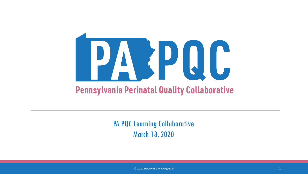

PA PQC Learning Collaborative March 18, 2020

 $\degree$  2020 JHF, PRHI & WHAMglobal  $\degree$  1  $\degree$  1  $\degree$  1  $\degree$  1  $\degree$  1  $\degree$  1  $\degree$  1  $\degree$  1  $\degree$  1  $\degree$  1  $\degree$  1  $\degree$  1  $\degree$  1  $\degree$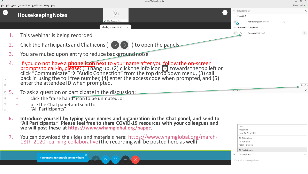

Your meeting controls are now here.

Enter chat message here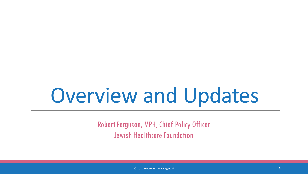# Overview and Updates

Robert Ferguson, MPH, Chief Policy Officer Jewish Healthcare Foundation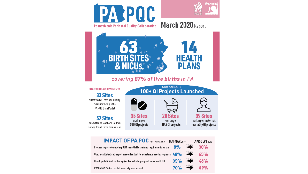

| <b>IMPAUI UF PA PUU</b> % of PA PQC Sites JAN-MAR 2019                                                       |  | APR-SEPT 2019                |
|--------------------------------------------------------------------------------------------------------------|--|------------------------------|
| Process to provide <b>ongoing SUD sensitivity training</b> requirements for staff $\frac{8\%}{\%}$           |  | 30%                          |
| Used a validated, self-report <b>screening tool for substance use</b> in pregnancy $48\%$ $^{+17\%}_{-}$ 65% |  |                              |
| Developed clinical pathways/order sets for pregnant women with OUD                                           |  | $35\%$ $\longrightarrow$ 46% |
| Evaluated risk or level of maternity care needed                                                             |  | $70\%$ $^{+1\%}_{-2\%}$ 89%  |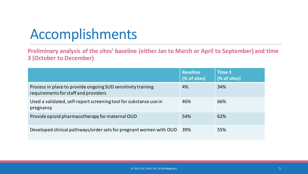# Accomplishments

**Preliminary analysis of the sites' baseline (either Jan to March or April to September) and time 3 (October to December)**

|                                                                                                      | <b>Baseline</b><br>(% of sites) | Time 3<br>(% of sites) |
|------------------------------------------------------------------------------------------------------|---------------------------------|------------------------|
| Process in place to provide ongoing SUD sensitivity training<br>requirements for staff and providers | 4%                              | 34%                    |
| Used a validated, self-report screening tool for substance use in<br>pregnancy                       | 46%                             | 66%                    |
| Provide opioid pharmacotherapy for maternal OUD                                                      | 54%                             | 62%                    |
| Developed clinical pathways/order sets for pregnant women with OUD                                   | 39%                             | 55%                    |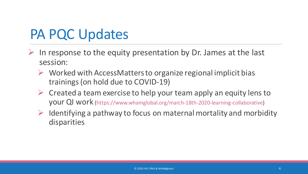- In response to the equity presentation by Dr. James at the last session:
	- $\triangleright$  Worked with AccessMatters to organize regional implicit bias trainings (on hold due to COVID-19)
	- $\triangleright$  Created a team exercise to help your team apply an equity lens to your QI work (https://www.whamglobal.org/march-18th-2020-learning-collaborative)
	- $\triangleright$  Identifying a pathway to focus on maternal mortality and morbidity disparities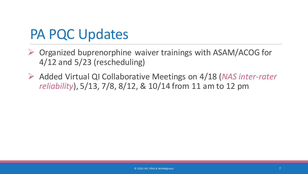- ▶ Organized buprenorphine waiver trainings with ASAM/ACOG for 4/12 and 5/23 (rescheduling)
- Added Virtual QI Collaborative Meetings on 4/18 (*NAS inter-rater reliability*), 5/13, 7/8, 8/12, & 10/14 from 11 am to 12 pm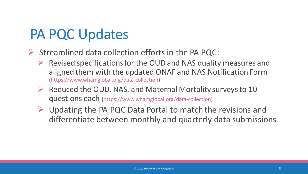- $\triangleright$  Streamlined data collection efforts in the PA PQC:
	- $\triangleright$  Revised specifications for the OUD and NAS quality measures and aligned them with the updated ONAF and NAS Notification Form (https://www.whamglobal.org/data-collection)
	- $\triangleright$  Reduced the OUD, NAS, and Maternal Mortality surveys to 10 questions each (https://www.whamglobal.org/data-collection)
	- $\triangleright$  Updating the PA PQC Data Portal to match the revisions and differentiate between monthly and quarterly data submissions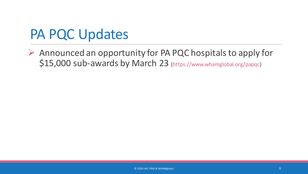$\triangleright$  Announced an opportunity for PA PQC hospitals to apply for \$15,000 sub-awards by March 23 (https://www.whamglobal.org/papqc)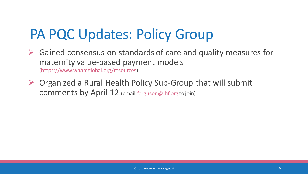# PA PQC Updates: Policy Group

- $\triangleright$  Gained consensus on standards of care and quality measures for maternity value-based payment models (https://www.whamglobal.org/resources)
- $\triangleright$  Organized a Rural Health Policy Sub-Group that will submit comments by April 12 (email ferguson@jhf.org to join)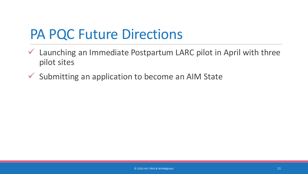#### PA PQC Future Directions

- Launching an Immediate Postpartum LARC pilot in April with three pilot sites
- $\checkmark$  Submitting an application to become an AIM State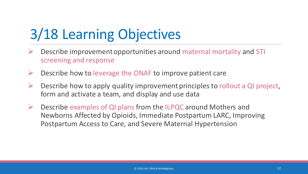# 3/18 Learning Objectives

- Describe improvement opportunities around maternal mortality and STI screening and response
- $\triangleright$  Describe how to leverage the ONAF to improve patient care
- Describe how to apply quality improvement principles to rollout a QI project, form and activate a team, and display and use data
- $\triangleright$  Describe examples of QI plans from the ILPQC around Mothers and Newborns Affected by Opioids, Immediate Postpartum LARC, Improving Postpartum Access to Care, and Severe Maternal Hypertension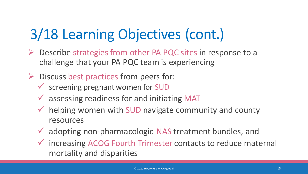# 3/18 Learning Objectives (cont.)

- $\triangleright$  Describe strategies from other PA PQC sites in response to a challenge that your PA PQC team is experiencing
- $\triangleright$  Discuss best practices from peers for:
	- $\checkmark$  screening pregnant women for SUD
	- $\checkmark$  assessing readiness for and initiating MAT
	- $\checkmark$  helping women with SUD navigate community and county resources
	- adopting non-pharmacologic NAS treatment bundles, and
	- $\checkmark$  increasing ACOG Fourth Trimester contacts to reduce maternal mortality and disparities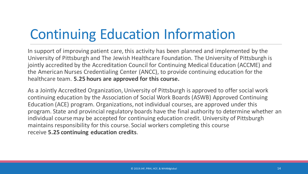# Continuing Education Information

In support of improving patient care, this activity has been planned and implemented by the University of Pittsburgh and The Jewish Healthcare Foundation. The University of Pittsburgh is jointly accredited by the Accreditation Council for Continuing Medical Education (ACCME) and the American Nurses Credentialing Center (ANCC), to provide continuing education for the healthcare team. **5.25 hours are approved for this course.**

As a Jointly Accredited Organization, University of Pittsburgh is approved to offer social work continuing education by the Association of Social Work Boards (ASWB) Approved Continuing Education (ACE) program. Organizations, not individual courses, are approved under this program. State and provincial regulatory boards have the final authority to determine whether an individual course may be accepted for continuing education credit. University of Pittsburgh maintains responsibility for this course. Social workers completing this course receive **5.25 continuing education credits**.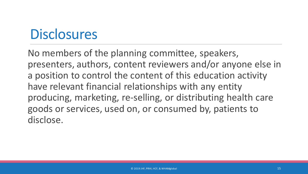# **Disclosures**

No members of the planning committee, speakers, presenters, authors, content reviewers and/or anyone else in a position to control the content of this education activity have relevant financial relationships with any entity producing, marketing, re-selling, or distributing health care goods or services, used on, or consumed by, patients to disclose.